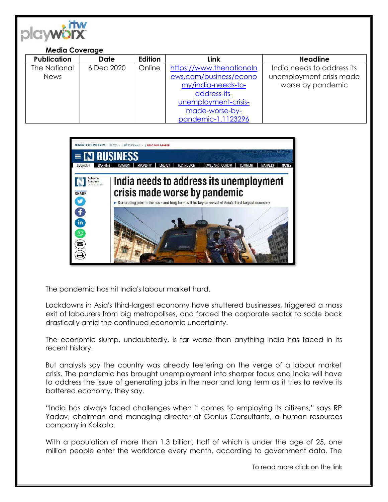

## **Media Coverage**

| <b>Publication</b> | <b>Date</b> | Edition | Link                     | <b>Headline</b>            |
|--------------------|-------------|---------|--------------------------|----------------------------|
| The National       | 6 Dec 2020  | Online  | https://www.thenationaln | India needs to address its |
| <b>News</b>        |             |         | ews.com/business/econo   | unemployment crisis made   |
|                    |             |         | my/india-needs-to-       | worse by pandemic          |
|                    |             |         | address-its-             |                            |
|                    |             |         | unemployment-crisis-     |                            |
|                    |             |         | made-worse-by-           |                            |
|                    |             |         | pandemic-1.1123296       |                            |



The pandemic has hit India's labour market hard.

Lockdowns in Asia's third-largest economy have shuttered businesses, triggered a mass exit of labourers from big metropolises, and forced the corporate sector to scale back drastically amid the continued economic uncertainty.

The economic slump, undoubtedly, is far worse than anything India has faced in its recent history.

But analysts say the country was already teetering on the verge of a labour market crisis. The pandemic has brought unemployment into sharper focus and India will have to address the issue of generating jobs in the near and long term as it tries to revive its battered economy, they say.

"India has always faced challenges when it comes to employing its citizens," says RP Yadav, chairman and managing director at Genius Consultants, a human resources company in Kolkata.

With a population of more than 1.3 billion, half of which is under the age of 25, one million people enter the workforce every month, according to government data. The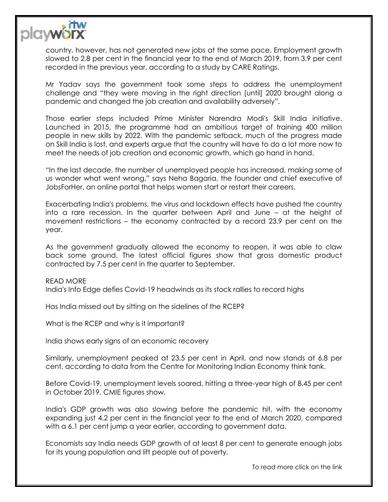

country, however, has not generated new jobs at the same pace. Employment growth slowed to 2.8 per cent in the financial year to the end of March 2019, from 3.9 per cent recorded in the previous year, according to a study by CARE Ratings.

Mr Yadav says the government took some steps to address the unemployment challenge and "they were moving in the right direction [until] 2020 brought along a pandemic and changed the job creation and availability adversely".

Those earlier steps included Prime Minister Narendra Modi's Skill India initiative. Launched in 2015, the programme had an ambitious target of training 400 million people in new skills by 2022. With the pandemic setback, much of the progress made on Skill India is lost, and experts argue that the country will have to do a lot more now to meet the needs of job creation and economic growth, which go hand in hand.

"In the last decade, the number of unemployed people has increased, making some of us wonder what went wrong," says Neha Bagaria, the founder and chief executive of JobsForHer, an online portal that helps women start or restart their careers.

Exacerbating India's problems, the virus and lockdown effects have pushed the country into a rare recession. In the quarter between April and June – at the height of movement restrictions – the economy contracted by a record 23.9 per cent on the year.

As the government gradually allowed the economy to reopen, it was able to claw back some ground. The latest official figures show that gross domestic product contracted by 7.5 per cent in the quarter to September.

READ MORE India's Info Edge defies Covid-19 headwinds as its stock rallies to record highs

Has India missed out by sitting on the sidelines of the RCEP?

What is the RCEP and why is it important?

India shows early signs of an economic recovery

Similarly, unemployment peaked at 23.5 per cent in April, and now stands at 6.8 per cent, according to data from the Centre for Monitoring Indian Economy think tank.

Before Covid-19, unemployment levels soared, hitting a three-year high of 8.45 per cent in October 2019, CMIE figures show.

India's GDP growth was also slowing before the pandemic hit, with the economy expanding just 4.2 per cent in the financial year to the end of March 2020, compared with a 6.1 per cent jump a year earlier, according to government data.

Economists say India needs GDP growth of at least 8 per cent to generate enough jobs for its young population and lift people out of poverty.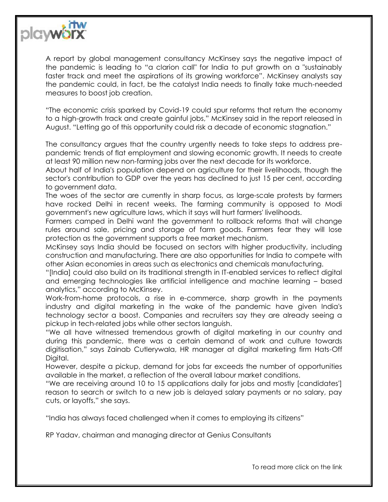

A report by global management consultancy McKinsey says the negative impact of the pandemic is leading to "a clarion call" for India to put growth on a "sustainably faster track and meet the aspirations of its growing workforce". McKinsey analysts say the pandemic could, in fact, be the catalyst India needs to finally take much-needed measures to boost job creation.

"The economic crisis sparked by Covid-19 could spur reforms that return the economy to a high-growth track and create gainful jobs," McKinsey said in the report released in August. "Letting go of this opportunity could risk a decade of economic stagnation."

The consultancy argues that the country urgently needs to take steps to address prepandemic trends of flat employment and slowing economic growth. It needs to create at least 90 million new non-farming jobs over the next decade for its workforce.

About half of India's population depend on agriculture for their livelihoods, though the sector's contribution to GDP over the years has declined to just 15 per cent, according to government data.

The woes of the sector are currently in sharp focus, as large-scale protests by farmers have rocked Delhi in recent weeks. The farming community is opposed to Modi government's new agriculture laws, which it says will hurt farmers' livelihoods.

Farmers camped in Delhi want the government to rollback reforms that will change rules around sale, pricing and storage of farm goods. Farmers fear they will lose protection as the government supports a free market mechanism.

McKinsey says India should be focused on sectors with higher productivity, including construction and manufacturing. There are also opportunities for India to compete with other Asian economies in areas such as electronics and chemicals manufacturing.

"[India] could also build on its traditional strength in IT-enabled services to reflect digital and emerging technologies like artificial intelligence and machine learning – based analytics," according to McKinsey.

Work-from-home protocols, a rise in e-commerce, sharp growth in the payments industry and digital marketing in the wake of the pandemic have given India's technology sector a boost. Companies and recruiters say they are already seeing a pickup in tech-related jobs while other sectors languish.

"We all have witnessed tremendous growth of digital marketing in our country and during this pandemic, there was a certain demand of work and culture towards digitisation," says Zainab Cutlerywala, HR manager at digital marketing firm Hats-Off Diaital.

However, despite a pickup, demand for jobs far exceeds the number of opportunities available in the market, a reflection of the overall labour market conditions.

"We are receiving around 10 to 15 applications daily for jobs and mostly [candidates'] reason to search or switch to a new job is delayed salary payments or no salary, pay cuts, or layoffs," she says.

"India has always faced challenged when it comes to employing its citizens"

RP Yadav, chairman and managing director at Genius Consultants